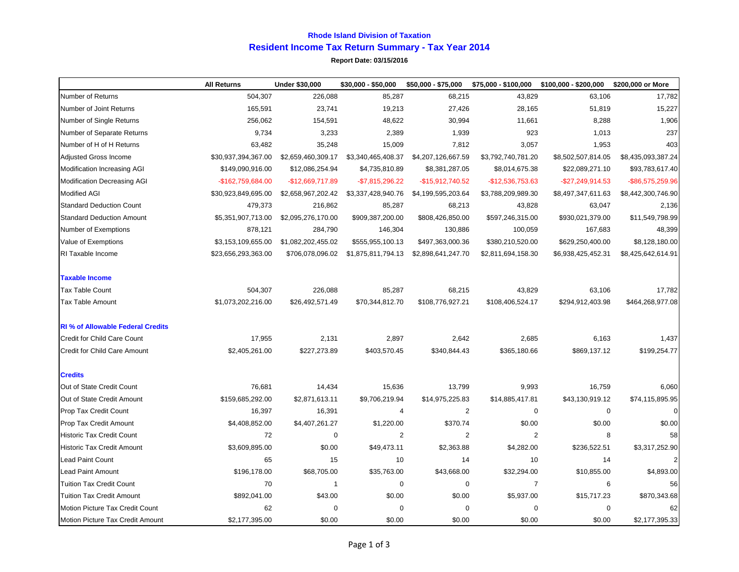## **Rhode Island Division of Taxation Resident Income Tax Return Summary - Tax Year 2014**

**Report Date: 03/15/2016**

|                                          | <b>All Returns</b>  | <b>Under \$30,000</b> | \$30,000 - \$50,000 | \$50,000 - \$75,000 | \$75,000 - \$100,000 | \$100,000 - \$200,000 | \$200,000 or More  |
|------------------------------------------|---------------------|-----------------------|---------------------|---------------------|----------------------|-----------------------|--------------------|
| Number of Returns                        | 504,307             | 226,088               | 85,287              | 68,215              | 43,829               | 63,106                | 17,782             |
| Number of Joint Returns                  | 165,591             | 23,741                | 19,213              | 27,426              | 28,165               | 51,819                | 15,227             |
| Number of Single Returns                 | 256,062             | 154,591               | 48,622              | 30,994              | 11,661               | 8,288                 | 1,906              |
| Number of Separate Returns               | 9,734               | 3,233                 | 2,389               | 1,939               | 923                  | 1,013                 | 237                |
| Number of H of H Returns                 | 63,482              | 35,248                | 15,009              | 7,812               | 3,057                | 1,953                 | 403                |
| <b>Adjusted Gross Income</b>             | \$30,937,394,367.00 | \$2,659,460,309.17    | \$3,340,465,408.37  | \$4,207,126,667.59  | \$3,792,740,781.20   | \$8,502,507,814.05    | \$8,435,093,387.24 |
| Modification Increasing AGI              | \$149,090,916.00    | \$12,086,254.94       | \$4,735,810.89      | \$8,381,287.05      | \$8,014,675.38       | \$22,089,271.10       | \$93,783,617.40    |
| <b>Modification Decreasing AGI</b>       | -\$162,759,684.00   | $-$12,669,717.89$     | $-$7,815,296.22$    | $-$15,912,740.52$   | $-$12,536,753.63$    | -\$27,249,914.53      | -\$86,575,259.96   |
| <b>Modified AGI</b>                      | \$30,923,849,695.00 | \$2,658,967,202.42    | \$3,337,428,940.76  | \$4,199,595,203.64  | \$3,788,209,989.30   | \$8,497,347,611.63    | \$8,442,300,746.90 |
| <b>Standard Deduction Count</b>          | 479,373             | 216,862               | 85,287              | 68,213              | 43,828               | 63,047                | 2,136              |
| <b>Standard Deduction Amount</b>         | \$5,351,907,713.00  | \$2,095,276,170.00    | \$909,387,200.00    | \$808,426,850.00    | \$597,246,315.00     | \$930,021,379.00      | \$11,549,798.99    |
| Number of Exemptions                     | 878,121             | 284,790               | 146,304             | 130,886             | 100,059              | 167,683               | 48,399             |
| Value of Exemptions                      | \$3,153,109,655.00  | \$1,082,202,455.02    | \$555,955,100.13    | \$497,363,000.36    | \$380,210,520.00     | \$629,250,400.00      | \$8,128,180.00     |
| RI Taxable Income                        | \$23,656,293,363.00 | \$706,078,096.02      | \$1,875,811,794.13  | \$2,898,641,247.70  | \$2,811,694,158.30   | \$6,938,425,452.31    | \$8,425,642,614.91 |
| <b>Taxable Income</b>                    |                     |                       |                     |                     |                      |                       |                    |
| Tax Table Count                          | 504,307             | 226,088               | 85,287              | 68,215              | 43,829               | 63,106                | 17,782             |
| <b>Tax Table Amount</b>                  | \$1,073,202,216.00  | \$26,492,571.49       | \$70,344,812.70     | \$108,776,927.21    | \$108,406,524.17     | \$294,912,403.98      | \$464,268,977.08   |
| <b>RI</b> % of Allowable Federal Credits |                     |                       |                     |                     |                      |                       |                    |
| Credit for Child Care Count              | 17,955              | 2,131                 | 2,897               | 2,642               | 2,685                | 6,163                 | 1,437              |
| <b>Credit for Child Care Amount</b>      | \$2,405,261.00      | \$227,273.89          | \$403,570.45        | \$340,844.43        | \$365,180.66         | \$869,137.12          | \$199,254.77       |
| <b>Credits</b>                           |                     |                       |                     |                     |                      |                       |                    |
| Out of State Credit Count                | 76,681              | 14,434                | 15,636              | 13,799              | 9,993                | 16,759                | 6,060              |
| Out of State Credit Amount               | \$159,685,292.00    | \$2,871,613.11        | \$9,706,219.94      | \$14,975,225.83     | \$14,885,417.81      | \$43,130,919.12       | \$74,115,895.95    |
| Prop Tax Credit Count                    | 16,397              | 16,391                | 4                   | $\overline{2}$      | $\mathbf 0$          | $\mathbf 0$           | $\Omega$           |
| <b>Prop Tax Credit Amount</b>            | \$4,408,852.00      | \$4,407,261.27        | \$1,220.00          | \$370.74            | \$0.00               | \$0.00                | \$0.00             |
| <b>Historic Tax Credit Count</b>         | 72                  | 0                     | 2                   | $\overline{2}$      | $\overline{2}$       | 8                     | 58                 |
| <b>Historic Tax Credit Amount</b>        | \$3,609,895.00      | \$0.00                | \$49,473.11         | \$2,363.88          | \$4,282.00           | \$236,522.51          | \$3,317,252.90     |
| <b>Lead Paint Count</b>                  | 65                  | 15                    | 10                  | 14                  | 10                   | 14                    | $\overline{2}$     |
| <b>Lead Paint Amount</b>                 | \$196,178.00        | \$68,705.00           | \$35,763.00         | \$43,668.00         | \$32,294.00          | \$10,855.00           | \$4,893.00         |
| <b>Tuition Tax Credit Count</b>          | 70                  | $\mathbf{1}$          | $\pmb{0}$           | $\mathbf 0$         | $\overline{7}$       | 6                     | 56                 |
| <b>Tuition Tax Credit Amount</b>         | \$892,041.00        | \$43.00               | \$0.00              | \$0.00              | \$5,937.00           | \$15,717.23           | \$870,343.68       |
| Motion Picture Tax Credit Count          | 62                  | 0                     | 0                   | $\mathbf 0$         | 0                    | 0                     | 62                 |
| Motion Picture Tax Credit Amount         | \$2,177,395.00      | \$0.00                | \$0.00              | \$0.00              | \$0.00               | \$0.00                | \$2,177,395.33     |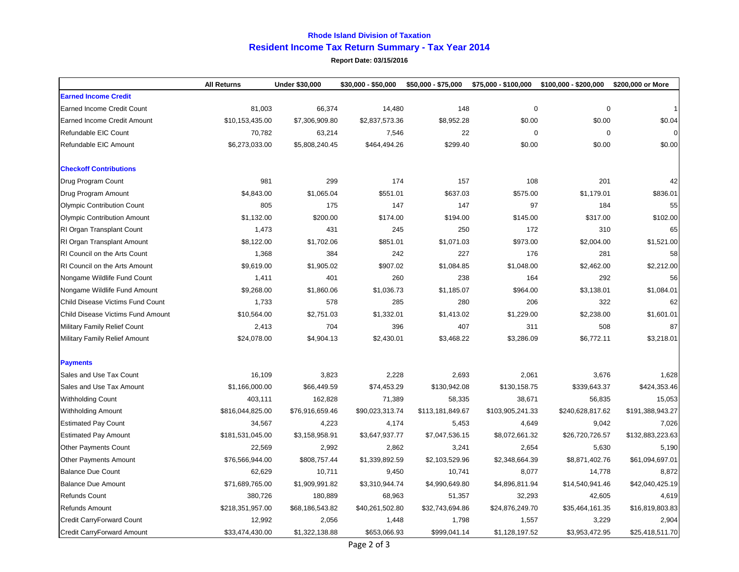## **Rhode Island Division of Taxation Resident Income Tax Return Summary - Tax Year 2014**

**Report Date: 03/15/2016**

|                                      | <b>All Returns</b> | <b>Under \$30,000</b> | \$30,000 - \$50,000 | \$50,000 - \$75,000 | \$75,000 - \$100,000 | \$100.000 - \$200.000 | \$200,000 or More |
|--------------------------------------|--------------------|-----------------------|---------------------|---------------------|----------------------|-----------------------|-------------------|
| <b>Earned Income Credit</b>          |                    |                       |                     |                     |                      |                       |                   |
| <b>Earned Income Credit Count</b>    | 81,003             | 66,374                | 14,480              | 148                 | $\mathbf 0$          | 0                     |                   |
| <b>Earned Income Credit Amount</b>   | \$10,153,435.00    | \$7,306,909.80        | \$2,837,573.36      | \$8,952.28          | \$0.00               | \$0.00                | \$0.04            |
| Refundable EIC Count                 | 70,782             | 63,214                | 7,546               | 22                  | $\mathbf 0$          | $\mathbf 0$           | $\Omega$          |
| Refundable EIC Amount                | \$6,273,033.00     | \$5,808,240.45        | \$464,494.26        | \$299.40            | \$0.00               | \$0.00                | \$0.00            |
| <b>Checkoff Contributions</b>        |                    |                       |                     |                     |                      |                       |                   |
| Drug Program Count                   | 981                | 299                   | 174                 | 157                 | 108                  | 201                   | 42                |
| Drug Program Amount                  | \$4,843.00         | \$1,065.04            | \$551.01            | \$637.03            | \$575.00             | \$1,179.01            | \$836.01          |
| <b>Olympic Contribution Count</b>    | 805                | 175                   | 147                 | 147                 | 97                   | 184                   | 55                |
| <b>Olympic Contribution Amount</b>   | \$1,132.00         | \$200.00              | \$174.00            | \$194.00            | \$145.00             | \$317.00              | \$102.00          |
| RI Organ Transplant Count            | 1,473              | 431                   | 245                 | 250                 | 172                  | 310                   | 65                |
| RI Organ Transplant Amount           | \$8,122.00         | \$1,702.06            | \$851.01            | \$1,071.03          | \$973.00             | \$2,004.00            | \$1,521.00        |
| <b>RI Council on the Arts Count</b>  | 1,368              | 384                   | 242                 | 227                 | 176                  | 281                   | 58                |
| <b>RI Council on the Arts Amount</b> | \$9,619.00         | \$1,905.02            | \$907.02            | \$1,084.85          | \$1,048.00           | \$2,462.00            | \$2,212.00        |
| Nongame Wildlife Fund Count          | 1,411              | 401                   | 260                 | 238                 | 164                  | 292                   | 56                |
| Nongame Wildlife Fund Amount         | \$9,268.00         | \$1,860.06            | \$1,036.73          | \$1.185.07          | \$964.00             | \$3,138.01            | \$1,084.01        |
| Child Disease Victims Fund Count     | 1,733              | 578                   | 285                 | 280                 | 206                  | 322                   | 62                |
| Child Disease Victims Fund Amount    | \$10,564.00        | \$2,751.03            | \$1,332.01          | \$1,413.02          | \$1,229.00           | \$2,238.00            | \$1,601.01        |
| <b>Military Family Relief Count</b>  | 2,413              | 704                   | 396                 | 407                 | 311                  | 508                   | 87                |
| <b>Military Family Relief Amount</b> | \$24,078.00        | \$4,904.13            | \$2,430.01          | \$3,468.22          | \$3,286.09           | \$6,772.11            | \$3,218.01        |
| <b>Payments</b>                      |                    |                       |                     |                     |                      |                       |                   |
| Sales and Use Tax Count              | 16,109             | 3,823                 | 2,228               | 2,693               | 2,061                | 3,676                 | 1,628             |
| Sales and Use Tax Amount             | \$1,166,000.00     | \$66,449.59           | \$74,453.29         | \$130,942.08        | \$130,158.75         | \$339,643.37          | \$424,353.46      |
| Withholding Count                    | 403,111            | 162,828               | 71,389              | 58,335              | 38,671               | 56,835                | 15,053            |
| <b>Withholding Amount</b>            | \$816,044,825.00   | \$76,916,659.46       | \$90,023,313.74     | \$113,181,849.67    | \$103,905,241.33     | \$240,628,817.62      | \$191,388,943.27  |
| <b>Estimated Pay Count</b>           | 34,567             | 4,223                 | 4,174               | 5,453               | 4,649                | 9,042                 | 7,026             |
| <b>Estimated Pay Amount</b>          | \$181,531,045.00   | \$3,158,958.91        | \$3,647,937.77      | \$7,047,536.15      | \$8,072,661.32       | \$26,720,726.57       | \$132,883,223.63  |
| <b>Other Payments Count</b>          | 22,569             | 2,992                 | 2,862               | 3,241               | 2,654                | 5,630                 | 5,190             |
| <b>Other Payments Amount</b>         | \$76,566,944.00    | \$808,757.44          | \$1,339,892.59      | \$2,103,529.96      | \$2,348,664.39       | \$8,871,402.76        | \$61,094,697.01   |
| <b>Balance Due Count</b>             | 62,629             | 10,711                | 9,450               | 10,741              | 8,077                | 14,778                | 8,872             |
| <b>Balance Due Amount</b>            | \$71,689,765.00    | \$1,909,991.82        | \$3,310,944.74      | \$4,990,649.80      | \$4,896,811.94       | \$14,540,941.46       | \$42,040,425.19   |
| <b>Refunds Count</b>                 | 380,726            | 180,889               | 68,963              | 51,357              | 32,293               | 42,605                | 4,619             |
| Refunds Amount                       | \$218,351,957.00   | \$68,186,543.82       | \$40,261,502.80     | \$32,743,694.86     | \$24,876,249.70      | \$35,464,161.35       | \$16,819,803.83   |
| Credit CarryForward Count            | 12,992             | 2,056                 | 1,448               | 1,798               | 1,557                | 3,229                 | 2,904             |
| <b>Credit CarryForward Amount</b>    | \$33,474,430.00    | \$1,322,138.88        | \$653,066.93        | \$999,041.14        | \$1,128,197.52       | \$3,953,472.95        | \$25,418,511.70   |